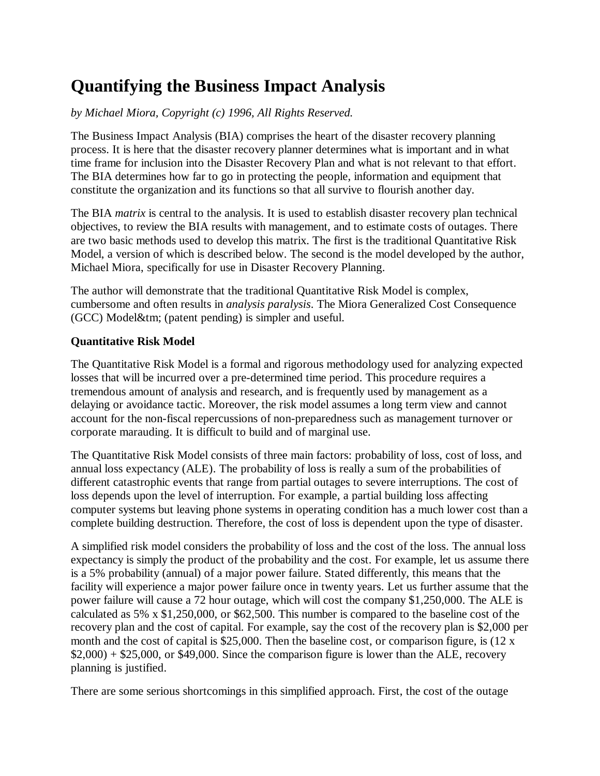## **Quantifying the Business Impact Analysis**

*by Michael Miora, Copyright (c) 1996, All Rights Reserved.*

The Business Impact Analysis (BIA) comprises the heart of the disaster recovery planning process. It is here that the disaster recovery planner determines what is important and in what time frame for inclusion into the Disaster Recovery Plan and what is not relevant to that effort. The BIA determines how far to go in protecting the people, information and equipment that constitute the organization and its functions so that all survive to flourish another day.

The BIA *matrix* is central to the analysis. It is used to establish disaster recovery plan technical objectives, to review the BIA results with management, and to estimate costs of outages. There are two basic methods used to develop this matrix. The first is the traditional Quantitative Risk Model, a version of which is described below. The second is the model developed by the author, Michael Miora, specifically for use in Disaster Recovery Planning.

The author will demonstrate that the traditional Quantitative Risk Model is complex, cumbersome and often results in *analysis paralysis*. The Miora Generalized Cost Consequence (GCC) Model&tm; (patent pending) is simpler and useful.

## **Quantitative Risk Model**

The Quantitative Risk Model is a formal and rigorous methodology used for analyzing expected losses that will be incurred over a pre-determined time period. This procedure requires a tremendous amount of analysis and research, and is frequently used by management as a delaying or avoidance tactic. Moreover, the risk model assumes a long term view and cannot account for the non-fiscal repercussions of non-preparedness such as management turnover or corporate marauding. It is difficult to build and of marginal use.

The Quantitative Risk Model consists of three main factors: probability of loss, cost of loss, and annual loss expectancy (ALE). The probability of loss is really a sum of the probabilities of different catastrophic events that range from partial outages to severe interruptions. The cost of loss depends upon the level of interruption. For example, a partial building loss affecting computer systems but leaving phone systems in operating condition has a much lower cost than a complete building destruction. Therefore, the cost of loss is dependent upon the type of disaster.

A simplified risk model considers the probability of loss and the cost of the loss. The annual loss expectancy is simply the product of the probability and the cost. For example, let us assume there is a 5% probability (annual) of a major power failure. Stated differently, this means that the facility will experience a major power failure once in twenty years. Let us further assume that the power failure will cause a 72 hour outage, which will cost the company \$1,250,000. The ALE is calculated as 5% x \$1,250,000, or \$62,500. This number is compared to the baseline cost of the recovery plan and the cost of capital. For example, say the cost of the recovery plan is \$2,000 per month and the cost of capital is \$25,000. Then the baseline cost, or comparison figure, is (12 x  $$2,000$  + \$25,000, or \$49,000. Since the comparison figure is lower than the ALE, recovery planning is justified.

There are some serious shortcomings in this simplified approach. First, the cost of the outage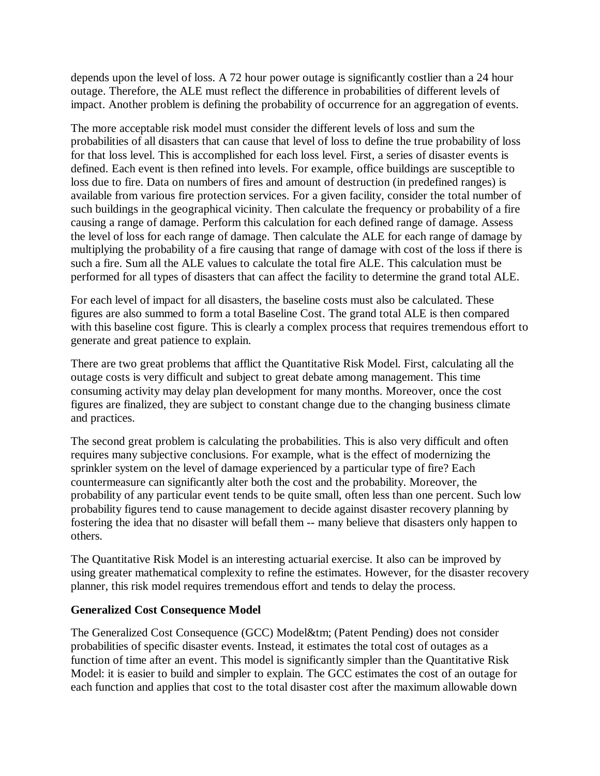depends upon the level of loss. A 72 hour power outage is significantly costlier than a 24 hour outage. Therefore, the ALE must reflect the difference in probabilities of different levels of impact. Another problem is defining the probability of occurrence for an aggregation of events.

The more acceptable risk model must consider the different levels of loss and sum the probabilities of all disasters that can cause that level of loss to define the true probability of loss for that loss level. This is accomplished for each loss level. First, a series of disaster events is defined. Each event is then refined into levels. For example, office buildings are susceptible to loss due to fire. Data on numbers of fires and amount of destruction (in predefined ranges) is available from various fire protection services. For a given facility, consider the total number of such buildings in the geographical vicinity. Then calculate the frequency or probability of a fire causing a range of damage. Perform this calculation for each defined range of damage. Assess the level of loss for each range of damage. Then calculate the ALE for each range of damage by multiplying the probability of a fire causing that range of damage with cost of the loss if there is such a fire. Sum all the ALE values to calculate the total fire ALE. This calculation must be performed for all types of disasters that can affect the facility to determine the grand total ALE.

For each level of impact for all disasters, the baseline costs must also be calculated. These figures are also summed to form a total Baseline Cost. The grand total ALE is then compared with this baseline cost figure. This is clearly a complex process that requires tremendous effort to generate and great patience to explain.

There are two great problems that afflict the Quantitative Risk Model. First, calculating all the outage costs is very difficult and subject to great debate among management. This time consuming activity may delay plan development for many months. Moreover, once the cost figures are finalized, they are subject to constant change due to the changing business climate and practices.

The second great problem is calculating the probabilities. This is also very difficult and often requires many subjective conclusions. For example, what is the effect of modernizing the sprinkler system on the level of damage experienced by a particular type of fire? Each countermeasure can significantly alter both the cost and the probability. Moreover, the probability of any particular event tends to be quite small, often less than one percent. Such low probability figures tend to cause management to decide against disaster recovery planning by fostering the idea that no disaster will befall them -- many believe that disasters only happen to others.

The Quantitative Risk Model is an interesting actuarial exercise. It also can be improved by using greater mathematical complexity to refine the estimates. However, for the disaster recovery planner, this risk model requires tremendous effort and tends to delay the process.

## **Generalized Cost Consequence Model**

The Generalized Cost Consequence (GCC) Model&tm; (Patent Pending) does not consider probabilities of specific disaster events. Instead, it estimates the total cost of outages as a function of time after an event. This model is significantly simpler than the Quantitative Risk Model: it is easier to build and simpler to explain. The GCC estimates the cost of an outage for each function and applies that cost to the total disaster cost after the maximum allowable down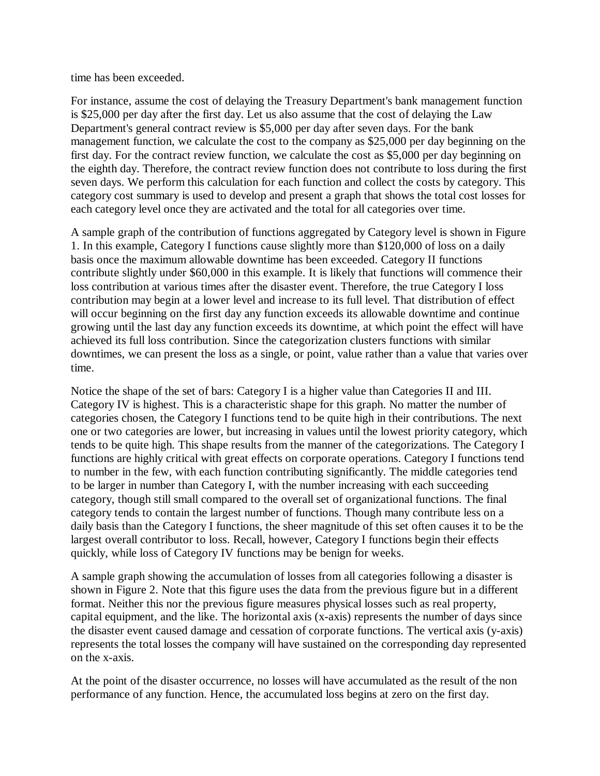time has been exceeded.

For instance, assume the cost of delaying the Treasury Department's bank management function is \$25,000 per day after the first day. Let us also assume that the cost of delaying the Law Department's general contract review is \$5,000 per day after seven days. For the bank management function, we calculate the cost to the company as \$25,000 per day beginning on the first day. For the contract review function, we calculate the cost as \$5,000 per day beginning on the eighth day. Therefore, the contract review function does not contribute to loss during the first seven days. We perform this calculation for each function and collect the costs by category. This category cost summary is used to develop and present a graph that shows the total cost losses for each category level once they are activated and the total for all categories over time.

A sample graph of the contribution of functions aggregated by Category level is shown in Figure 1. In this example, Category I functions cause slightly more than \$120,000 of loss on a daily basis once the maximum allowable downtime has been exceeded. Category II functions contribute slightly under \$60,000 in this example. It is likely that functions will commence their loss contribution at various times after the disaster event. Therefore, the true Category I loss contribution may begin at a lower level and increase to its full level. That distribution of effect will occur beginning on the first day any function exceeds its allowable downtime and continue growing until the last day any function exceeds its downtime, at which point the effect will have achieved its full loss contribution. Since the categorization clusters functions with similar downtimes, we can present the loss as a single, or point, value rather than a value that varies over time.

Notice the shape of the set of bars: Category I is a higher value than Categories II and III. Category IV is highest. This is a characteristic shape for this graph. No matter the number of categories chosen, the Category I functions tend to be quite high in their contributions. The next one or two categories are lower, but increasing in values until the lowest priority category, which tends to be quite high. This shape results from the manner of the categorizations. The Category I functions are highly critical with great effects on corporate operations. Category I functions tend to number in the few, with each function contributing significantly. The middle categories tend to be larger in number than Category I, with the number increasing with each succeeding category, though still small compared to the overall set of organizational functions. The final category tends to contain the largest number of functions. Though many contribute less on a daily basis than the Category I functions, the sheer magnitude of this set often causes it to be the largest overall contributor to loss. Recall, however, Category I functions begin their effects quickly, while loss of Category IV functions may be benign for weeks.

A sample graph showing the accumulation of losses from all categories following a disaster is shown in Figure 2. Note that this figure uses the data from the previous figure but in a different format. Neither this nor the previous figure measures physical losses such as real property, capital equipment, and the like. The horizontal axis (x-axis) represents the number of days since the disaster event caused damage and cessation of corporate functions. The vertical axis (y-axis) represents the total losses the company will have sustained on the corresponding day represented on the x-axis.

At the point of the disaster occurrence, no losses will have accumulated as the result of the non performance of any function. Hence, the accumulated loss begins at zero on the first day.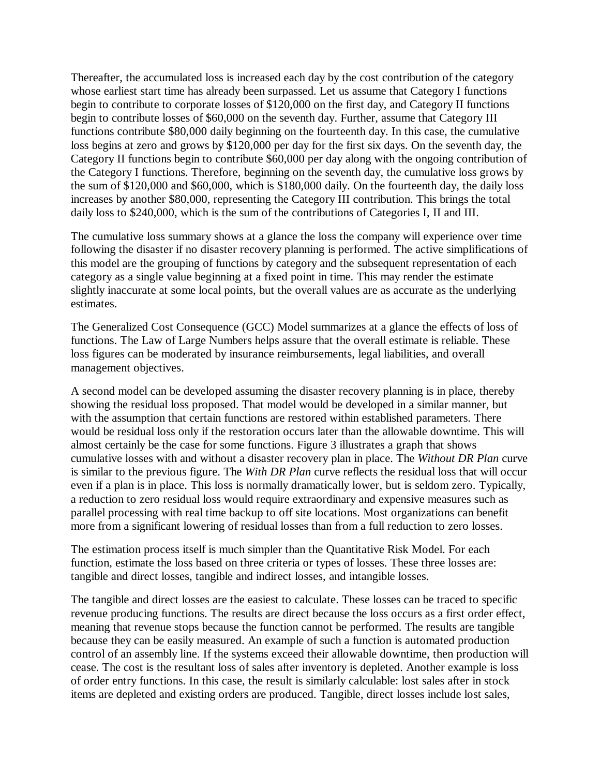Thereafter, the accumulated loss is increased each day by the cost contribution of the category whose earliest start time has already been surpassed. Let us assume that Category I functions begin to contribute to corporate losses of \$120,000 on the first day, and Category II functions begin to contribute losses of \$60,000 on the seventh day. Further, assume that Category III functions contribute \$80,000 daily beginning on the fourteenth day. In this case, the cumulative loss begins at zero and grows by \$120,000 per day for the first six days. On the seventh day, the Category II functions begin to contribute \$60,000 per day along with the ongoing contribution of the Category I functions. Therefore, beginning on the seventh day, the cumulative loss grows by the sum of \$120,000 and \$60,000, which is \$180,000 daily. On the fourteenth day, the daily loss increases by another \$80,000, representing the Category III contribution. This brings the total daily loss to \$240,000, which is the sum of the contributions of Categories I, II and III.

The cumulative loss summary shows at a glance the loss the company will experience over time following the disaster if no disaster recovery planning is performed. The active simplifications of this model are the grouping of functions by category and the subsequent representation of each category as a single value beginning at a fixed point in time. This may render the estimate slightly inaccurate at some local points, but the overall values are as accurate as the underlying estimates.

The Generalized Cost Consequence (GCC) Model summarizes at a glance the effects of loss of functions. The Law of Large Numbers helps assure that the overall estimate is reliable. These loss figures can be moderated by insurance reimbursements, legal liabilities, and overall management objectives.

A second model can be developed assuming the disaster recovery planning is in place, thereby showing the residual loss proposed. That model would be developed in a similar manner, but with the assumption that certain functions are restored within established parameters. There would be residual loss only if the restoration occurs later than the allowable downtime. This will almost certainly be the case for some functions. Figure 3 illustrates a graph that shows cumulative losses with and without a disaster recovery plan in place. The *Without DR Plan* curve is similar to the previous figure. The *With DR Plan* curve reflects the residual loss that will occur even if a plan is in place. This loss is normally dramatically lower, but is seldom zero. Typically, a reduction to zero residual loss would require extraordinary and expensive measures such as parallel processing with real time backup to off site locations. Most organizations can benefit more from a significant lowering of residual losses than from a full reduction to zero losses.

The estimation process itself is much simpler than the Quantitative Risk Model. For each function, estimate the loss based on three criteria or types of losses. These three losses are: tangible and direct losses, tangible and indirect losses, and intangible losses.

The tangible and direct losses are the easiest to calculate. These losses can be traced to specific revenue producing functions. The results are direct because the loss occurs as a first order effect, meaning that revenue stops because the function cannot be performed. The results are tangible because they can be easily measured. An example of such a function is automated production control of an assembly line. If the systems exceed their allowable downtime, then production will cease. The cost is the resultant loss of sales after inventory is depleted. Another example is loss of order entry functions. In this case, the result is similarly calculable: lost sales after in stock items are depleted and existing orders are produced. Tangible, direct losses include lost sales,